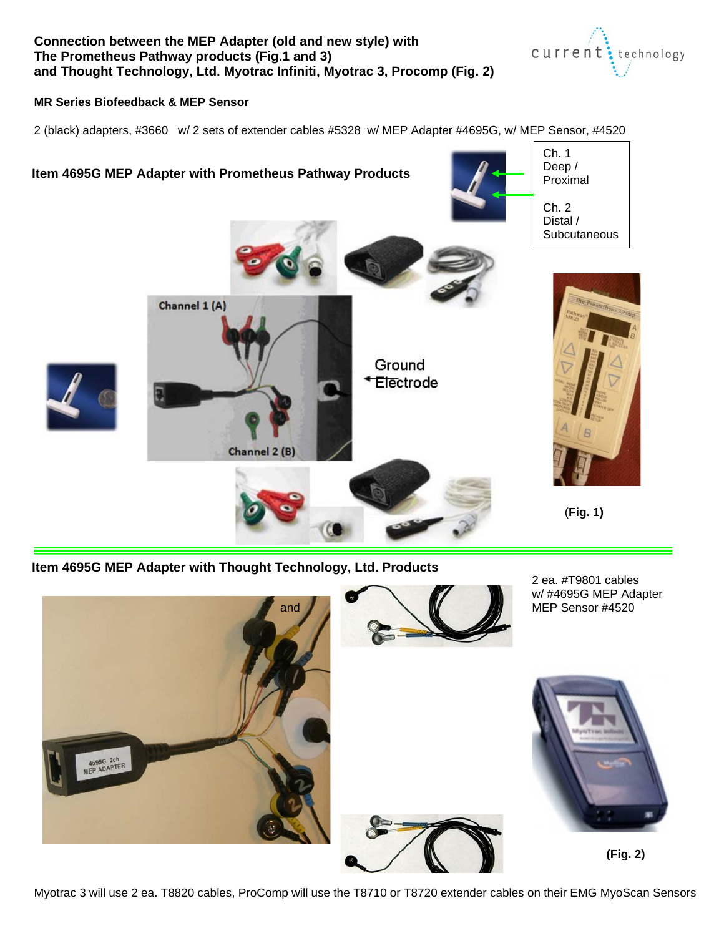### **Connection between the MEP Adapter (old and new style) with The Prometheus Pathway products (Fig.1 and 3) and Thought Technology, Ltd. Myotrac Infiniti, Myotrac 3, Procomp (Fig. 2)**



#### **MR Series Biofeedback & MEP Sensor**

2 (black) adapters, #3660 w/ 2 sets of extender cables #5328 w/ MEP Adapter #4695G, w/ MEP Sensor, #4520



**Item 4695G MEP Adapter with Thought Technology, Ltd. Products**



Myotrac 3 will use 2 ea. T8820 cables, ProComp will use the T8710 or T8720 extender cables on their EMG MyoScan Sensors